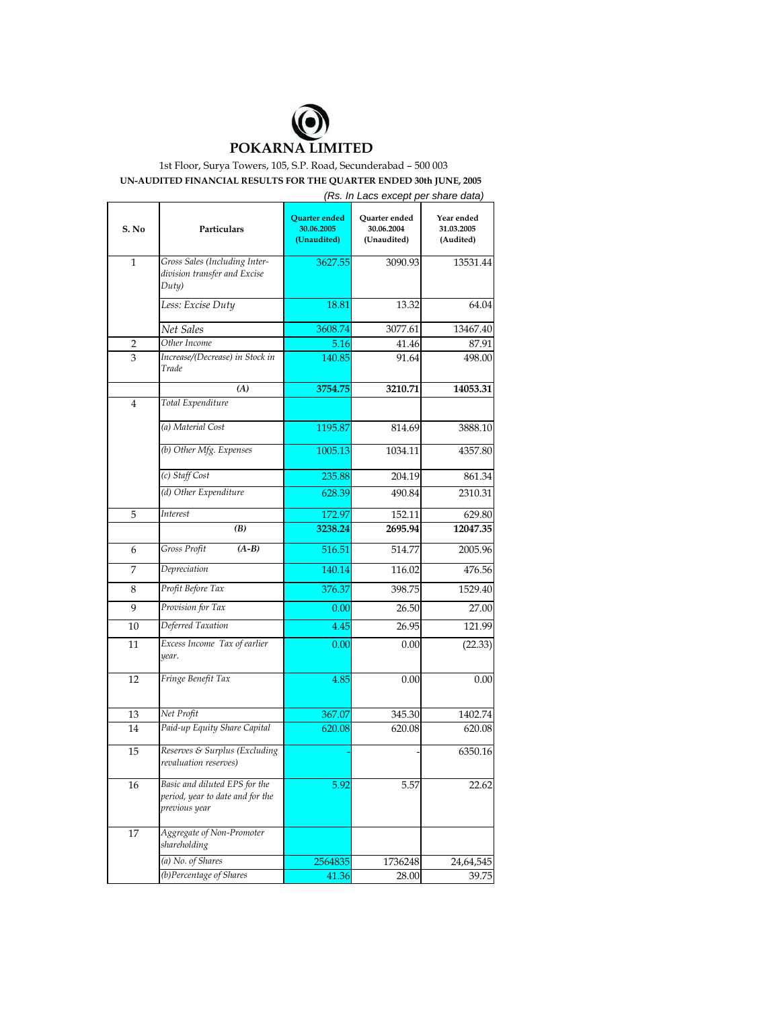

## 1st Floor, Surya Towers, 105, S.P. Road, Secunderabad – 500 003 **UN-AUDITED FINANCIAL RESULTS FOR THE QUARTER ENDED 30th JUNE, 2005**

|                |                                                                                    |                                            | (Rs. In Lacs except per share data)        |                                       |  |
|----------------|------------------------------------------------------------------------------------|--------------------------------------------|--------------------------------------------|---------------------------------------|--|
| S. No          | Particulars                                                                        | Quarter ended<br>30.06.2005<br>(Unaudited) | Quarter ended<br>30.06.2004<br>(Unaudited) | Year ended<br>31.03.2005<br>(Audited) |  |
| 1              | Gross Sales (Including Inter-<br>division transfer and Excise<br>Duty)             | 3627.55                                    | 3090.93                                    | 13531.44                              |  |
|                | Less: Excise Duty                                                                  | 18.81                                      | 13.32                                      | 64.04                                 |  |
|                | Net Sales                                                                          | 3608.74                                    | 3077.61                                    | 13467.40                              |  |
| 2              | Other Income                                                                       | 5.16                                       | 41.46                                      | 87.91                                 |  |
| 3              | Increase/(Decrease) in Stock in<br>Trade                                           | 140.85                                     | 91.64                                      | 498.00                                |  |
|                | (A)                                                                                | 3754.75                                    | 3210.71                                    | 14053.31                              |  |
| $\overline{4}$ | Total Expenditure                                                                  |                                            |                                            |                                       |  |
|                | (a) Material Cost                                                                  | 1195.87                                    | 814.69                                     | 3888.10                               |  |
|                | (b) Other Mfg. Expenses                                                            | 1005.13                                    | 1034.11                                    | 4357.80                               |  |
|                | (c) Staff Cost                                                                     | 235.88                                     | 204.19                                     | 861.34                                |  |
|                | (d) Other Expenditure                                                              | 628.39                                     | 490.84                                     | 2310.31                               |  |
| 5              | <b>Interest</b>                                                                    | 172.97                                     | 152.11                                     | 629.80                                |  |
|                | (B)                                                                                | 3238.24                                    | 2695.94                                    | 12047.35                              |  |
| 6              | Gross Profit<br>$(A-B)$                                                            | 516.51                                     | 514.77                                     | 2005.96                               |  |
| 7              | Depreciation                                                                       | 140.14                                     | 116.02                                     | 476.56                                |  |
| 8              | Profit Before Tax                                                                  | 376.37                                     | 398.75                                     | 1529.40                               |  |
| 9              | Provision for Tax                                                                  | 0.00                                       | 26.50                                      | 27.00                                 |  |
| 10             | Deferred Taxation                                                                  | 4.45                                       | 26.95                                      | 121.99                                |  |
| 11             | Excess Income Tax of earlier<br>year.                                              | 0.00                                       | 0.00                                       | (22.33)                               |  |
| 12             | Fringe Benefit Tax                                                                 | 4.85                                       | 0.00                                       | 0.00                                  |  |
| 13             | Net Profit                                                                         | 367.07                                     | 345.30                                     | 1402.74                               |  |
| 14             | Paid-up Equity Share Capital                                                       | 620.08                                     | 620.08                                     | 620.08                                |  |
| 15             | Reserves & Surplus (Excluding<br>revaluation reserves)                             |                                            |                                            | 6350.16                               |  |
| 16             | Basic and diluted EPS for the<br>period, year to date and for the<br>previous year | 5.92                                       | 5.57                                       | 22.62                                 |  |
| 17             | Aggregate of Non-Promoter<br>shareholding                                          |                                            |                                            |                                       |  |
|                | (a) No. of Shares                                                                  | 2564835                                    | 1736248                                    | 24,64,545                             |  |
|                | (b)Percentage of Shares                                                            | 41.36                                      | 28.00                                      | 39.75                                 |  |